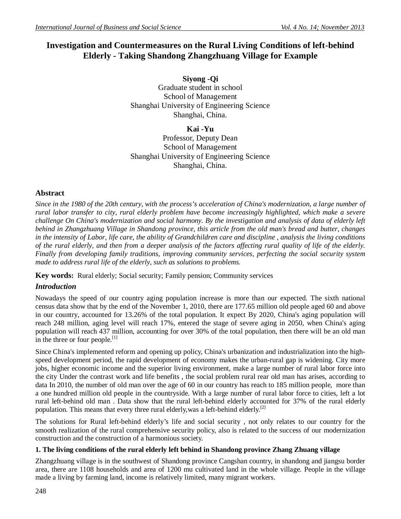# **Investigation and Countermeasures on the Rural Living Conditions of left-behind Elderly - Taking Shandong Zhangzhuang Village for Example**

**Siyong -Qi** Graduate student in school School of Management Shanghai University of Engineering Science Shanghai, China.

**Kai -Yu** Professor, Deputy Dean School of Management Shanghai University of Engineering Science Shanghai, China.

## **Abstract**

*Since in the 1980 of the 20th century, with the process's acceleration of China's modernization, a large number of rural labor transfer to city, rural elderly problem have become increasingly highlighted, which make a severe challenge On China's modernization and social harmony. By the investigation and analysis of data of elderly left behind in Zhangzhuang Village in Shandong province, this article from the old man's bread and butter, changes in the intensity of Labor, life care, the ability of Grandchildren care and discipline , analysis the living conditions of the rural elderly, and then from a deeper analysis of the factors affecting rural quality of life of the elderly. Finally from developing family traditions, improving community services, perfecting the social security system made to address rural life of the elderly, such as solutions to problems.*

**Key words:** Rural elderly; Social security; Family pension; Community services

# *Introduction*

Nowadays the speed of our country aging population increase is more than our expected. The sixth national census data show that by the end of the November 1, 2010, there are 177.65 million old people aged 60 and above in our country, accounted for 13.26% of the total population. It expect By 2020, China's aging population will reach 248 million, aging level will reach 17%, entered the stage of severe aging in 2050, when China's aging population will reach 437 million, accounting for over 30% of the total population, then there will be an old man in the three or four people. $[1]$ 

Since China's implemented reform and opening up policy, China's urbanization and industrialization into the highspeed development period, the rapid development of economy makes the urban-rural gap is widening. City more jobs, higher economic income and the superior living environment, make a large number of rural labor force into the city Under the contrast work and life benefits , the social problem rural rear old man has arises, according to data In 2010, the number of old man over the age of 60 in our country has reach to 185 million people, more than a one hundred million old people in the countryside. With a large number of rural labor force to cities, left a lot rural left-behind old man . Data show that the rural left-behind elderly accounted for 37% of the rural elderly population. This means that every three rural elderly, was a left-behind elderly.<sup>[2]</sup>

The solutions for Rural left-behind elderly's life and social security , not only relates to our country for the smooth realization of the rural comprehensive security policy, also is related to the success of our modernization construction and the construction of a harmonious society.

## **1. The living conditions of the rural elderly left behind in Shandong province Zhang Zhuang village**

Zhangzhuang village is in the southwest of Shandong province Cangshan country, in shandong and jiangsu border area, there are 1108 households and area of 1200 mu cultivated land in the whole village. People in the village made a living by farming land, income is relatively limited, many migrant workers.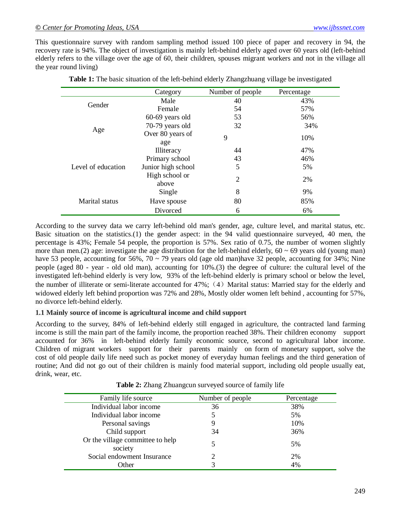This questionnaire survey with random sampling method issued 100 piece of paper and recovery in 94, the recovery rate is 94%. The object of investigation is mainly left-behind elderly aged over 60 years old (left-behind elderly refers to the village over the age of 60, their children, spouses migrant workers and not in the village all the year round living)

|                    | Category                | Number of people | Percentage |
|--------------------|-------------------------|------------------|------------|
| Gender             | Male                    | 40               | 43%        |
|                    | Female                  | 54               | 57%        |
| Age                | 60-69 years old         | 53               | 56%        |
|                    | 70-79 years old         | 32               | 34%        |
|                    | Over 80 years of<br>age | 9                | 10%        |
| Level of education | Illiteracy              | 44               | 47%        |
|                    | Primary school          | 43               | 46%        |
|                    | Junior high school      | 5                | 5%         |
|                    | High school or<br>above | $\overline{2}$   | 2%         |
| Marital status     | Single                  | 8                | 9%         |
|                    | Have spouse             | 80               | 85%        |
|                    | Divorced                | 6                | 6%         |

**Table 1:** The basic situation of the left-behind elderly Zhangzhuang village be investigated

According to the survey data we carry left-behind old man's gender, age, culture level, and marital status, etc. Basic situation on the statistics.(1) the gender aspect: in the 94 valid questionnaire surveyed, 40 men, the percentage is 43%; Female 54 people, the proportion is 57%. Sex ratio of 0.75, the number of women slightly more than men.(2) age: investigate the age distribution for the left-behind elderly,  $60 \sim 69$  years old (young man) have 53 people, accounting for 56%,  $70 \sim 79$  years old (age old man)have 32 people, accounting for 34%; Nine people (aged 80 - year - old old man), accounting for 10%.(3) the degree of culture: the cultural level of the investigated left-behind elderly is very low, 93% of the left-behind elderly is primary school or below the level, the number of illiterate or semi-literate accounted for 47%; (4) Marital status: Married stay for the elderly and widowed elderly left behind proportion was 72% and 28%, Mostly older women left behind, accounting for 57%, no divorce left-behind elderly.

#### **1.1 Mainly source of income is agricultural income and child support**

According to the survey, 84% of left-behind elderly still engaged in agriculture, the contracted land farming income is still the main part of the family income, the proportion reached 38%. Their children economy support accounted for 36% in left-behind elderly family economic source, second to agricultural labor income. Children of migrant workers support for their parents mainly on form of monetary support, solve the cost of old people daily life need such as pocket money of everyday human feelings and the third generation of routine; And did not go out of their children is mainly food material support, including old people usually eat, drink, wear, etc.

| Family life source                          | Number of people | Percentage |
|---------------------------------------------|------------------|------------|
| Individual labor income                     | 36               | 38%        |
| Individual labor income                     |                  | 5%         |
| Personal savings                            |                  | 10%        |
| Child support                               | 34               | 36%        |
| Or the village committee to help<br>society |                  | 5%         |
| Social endowment Insurance                  |                  | 2%         |
| <b>Other</b>                                |                  | 4%         |

**Table 2:** Zhang Zhuangcun surveyed source of family life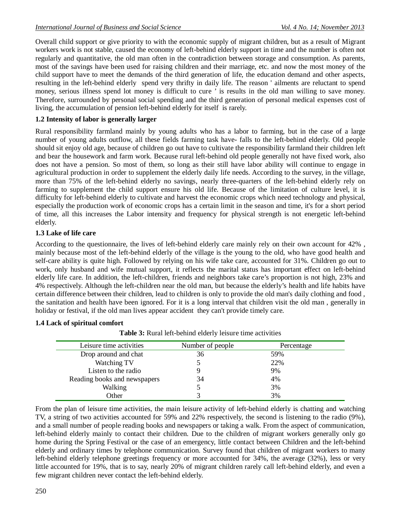Overall child support or give priority to with the economic supply of migrant children, but as a result of Migrant workers work is not stable, caused the economy of left-behind elderly support in time and the number is often not regularly and quantitative, the old man often in the contradiction between storage and consumption. As parents, most of the savings have been used for raising children and their marriage, etc. and now the most money of the child support have to meet the demands of the third generation of life, the education demand and other aspects, resulting in the left-behind elderly spend very thrifty in daily life. The reason ' ailments are reluctant to spend money, serious illness spend lot money is difficult to cure ' is results in the old man willing to save money. Therefore, surrounded by personal social spending and the third generation of personal medical expenses cost of living, the accumulation of pension left-behind elderly for itself is rarely.

#### **1.2 Intensity of labor is generally larger**

Rural responsibility farmland mainly by young adults who has a labor to farming, but in the case of a large number of young adults outflow, all these fields farming task have- falls to the left-behind elderly. Old people should sit enjoy old age, because of children go out have to cultivate the responsibility farmland their children left and bear the housework and farm work. Because rural left-behind old people generally not have fixed work, also does not have a pension. So most of them, so long as their still have labor ability will continue to engage in agricultural production in order to supplement the elderly daily life needs. According to the survey, in the village, more than 75% of the left-behind elderly no savings, nearly three-quarters of the left-behind elderly rely on farming to supplement the child support ensure his old life. Because of the limitation of culture level, it is difficulty for left-behind elderly to cultivate and harvest the economic crops which need technology and physical, especially the production work of economic crops has a certain limit in the season and time, it's for a short period of time, all this increases the Labor intensity and frequency for physical strength is not energetic left-behind elderly.

#### **1.3 Lake of life care**

According to the questionnaire, the lives of left-behind elderly care mainly rely on their own account for 42% , mainly because most of the left-behind elderly of the village is the young to the old, who have good health and self-care ability is quite high. Followed by relying on his wife take care, accounted for 31%. Children go out to work, only husband and wife mutual support, it reflects the marital status has important effect on left-behind elderly life care. In addition, the left-children, friends and neighbors take care's proportion is not high, 23% and 4% respectively. Although the left-children near the old man, but because the elderly's health and life habits have certain difference between their children, lead to children is only to provide the old man's daily clothing and food , the sanitation and health have been ignored. For it is a long interval that children visit the old man , generally in holiday or festival, if the old man lives appear accident they can't provide timely care.

#### **1.4 Lack of spiritual comfort**

| Table 3: Rural left-behind elderly leisure time activities |  |
|------------------------------------------------------------|--|
|------------------------------------------------------------|--|

| Leisure time activities      | Number of people | Percentage |
|------------------------------|------------------|------------|
| Drop around and chat         | 36               | 59%        |
| Watching TV                  |                  | 22%        |
| Listen to the radio          |                  | 9%         |
| Reading books and newspapers | 34               | 4%         |
| Walking                      |                  | 3%         |
| Other                        |                  | 3%         |

From the plan of leisure time activities, the main leisure activity of left-behind elderly is chatting and watching TV, a string of two activities accounted for 59% and 22% respectively, the second is listening to the radio (9%), and a small number of people reading books and newspapers or taking a walk. From the aspect of communication, left-behind elderly mainly to contact their children. Due to the children of migrant workers generally only go home during the Spring Festival or the case of an emergency, little contact between Children and the left-behind elderly and ordinary times by telephone communication. Survey found that children of migrant workers to many left-behind elderly telephone greetings frequency or more accounted for 34%, the average (32%), less or very little accounted for 19%, that is to say, nearly 20% of migrant children rarely call left-behind elderly, and even a few migrant children never contact the left-behind elderly.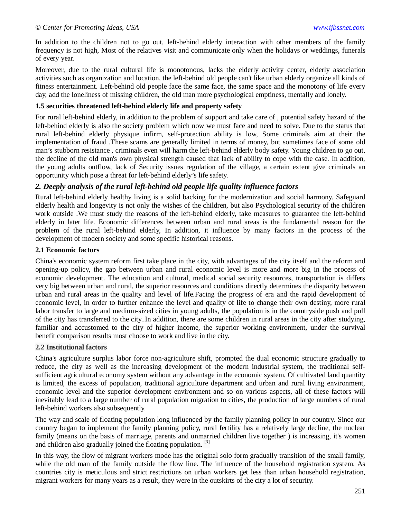In addition to the children not to go out, left-behind elderly interaction with other members of the family frequency is not high, Most of the relatives visit and communicate only when the holidays or weddings, funerals of every year.

Moreover, due to the rural cultural life is monotonous, lacks the elderly activity center, elderly association activities such as organization and location, the left-behind old people can't like urban elderly organize all kinds of fitness entertainment. Left-behind old people face the same face, the same space and the monotony of life every day, add the loneliness of missing children, the old man more psychological emptiness, mentally and lonely.

#### **1.5 securities threatened left-behind elderly life and property safety**

For rural left-behind elderly, in addition to the problem of support and take care of , potential safety hazard of the left-behind elderly is also the society problem which now we must face and need to solve. Due to the status that rural left-behind elderly physique infirm, self-protection ability is low, Some criminals aim at their the implementation of fraud .These scams are generally limited in terms of money, but sometimes face of some old man's stubborn resistance , criminals even will harm the left-behind elderly body safety. Young children to go out, the decline of the old man's own physical strength caused that lack of ability to cope with the case. In addition, the young adults outflow, lack of Security issues regulation of the village, a certain extent give criminals an opportunity which pose a threat for left-behind elderly's life safety.

# *2. Deeply analysis of the rural left-behind old people life quality influence factors*

Rural left-behind elderly healthy living is a solid backing for the modernization and social harmony. Safeguard elderly health and longevity is not only the wishes of the children, but also Psychological security of the children work outside .We must study the reasons of the left-behind elderly, take measures to guarantee the left-behind elderly in later life. Economic differences between urban and rural areas is the fundamental reason for the problem of the rural left-behind elderly, In addition, it influence by many factors in the process of the development of modern society and some specific historical reasons.

#### **2.1 Economic factors**

China's economic system reform first take place in the city, with advantages of the city itself and the reform and opening-up policy, the gap between urban and rural economic level is more and more big in the process of economic development. The education and cultural, medical social security resources, transportation is differs very big between urban and rural, the superior resources and conditions directly determines the disparity between urban and rural areas in the quality and level of life.Facing the progress of era and the rapid development of economic level, in order to further enhance the level and quality of life to change their own destiny, more rural labor transfer to large and medium-sized cities in young adults, the population is in the countryside push and pull of the city has transferred to the city..In addition, there are some children in rural areas in the city after studying, familiar and accustomed to the city of higher income, the superior working environment, under the survival benefit comparison results most choose to work and live in the city.

#### **2.2 Institutional factors**

China's agriculture surplus labor force non-agriculture shift, prompted the dual economic structure gradually to reduce, the city as well as the increasing development of the modern industrial system, the traditional selfsufficient agricultural economy system without any advantage in the economic system. Of cultivated land quantity is limited, the excess of population, traditional agriculture department and urban and rural living environment, economic level and the superior development environment and so on various aspects, all of these factors will inevitably lead to a large number of rural population migration to cities, the production of large numbers of rural left-behind workers also subsequently.

The way and scale of floating population long influenced by the family planning policy in our country. Since our country began to implement the family planning policy, rural fertility has a relatively large decline, the nuclear family (means on the basis of marriage, parents and unmarried children live together ) is increasing, it's women and children also gradually joined the floating population. [3]

In this way, the flow of migrant workers mode has the original solo form gradually transition of the small family, while the old man of the family outside the flow line. The influence of the household registration system. As countries city is meticulous and strict restrictions on urban workers get less than urban household registration, migrant workers for many years as a result, they were in the outskirts of the city a lot of security.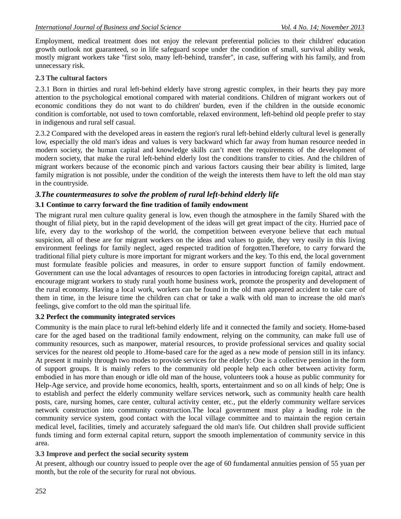Employment, medical treatment does not enjoy the relevant preferential policies to their children' education growth outlook not guaranteed, so in life safeguard scope under the condition of small, survival ability weak, mostly migrant workers take "first solo, many left-behind, transfer", in case, suffering with his family, and from unnecessary risk.

#### **2.3 The cultural factors**

2.3.1 Born in thirties and rural left-behind elderly have strong agrestic complex, in their hearts they pay more attention to the psychological emotional compared with material conditions. Children of migrant workers out of economic conditions they do not want to do children' burden, even if the children in the outside economic condition is comfortable, not used to town comfortable, relaxed environment, left-behind old people prefer to stay in indigenous and rural self casual.

2.3.2 Compared with the developed areas in eastern the region's rural left-behind elderly cultural level is generally low, especially the old man's ideas and values is very backward which far away from human resource needed in modern society, the human capital and knowledge skills can't meet the requirements of the development of modern society, that make the rural left-behind elderly lost the conditions transfer to cities. And the children of migrant workers because of the economic pinch and various factors causing their bear ability is limited, large family migration is not possible, under the condition of the weigh the interests them have to left the old man stay in the countryside.

#### *3.The countermeasures to solve the problem of rural left-behind elderly life*

#### **3.1 Continue to carry forward the fine tradition of family endowment**

The migrant rural men culture quality general is low, even though the atmosphere in the family Shared with the thought of filial piety, but in the rapid development of the ideas will get great impact of the city. Hurried pace of life, every day to the workshop of the world, the competition between everyone believe that each mutual suspicion, all of these are for migrant workers on the ideas and values to guide, they very easily in this living environment feelings for family neglect, aged respected tradition of forgotten.Therefore, to carry forward the traditional filial piety culture is more important for migrant workers and the key. To this end, the local government must formulate feasible policies and measures, in order to ensure support function of family endowment. Government can use the local advantages of resources to open factories in introducing foreign capital, attract and encourage migrant workers to study rural youth home business work, promote the prosperity and development of the rural economy. Having a local work, workers can be found in the old man appeared accident to take care of them in time, in the leisure time the children can chat or take a walk with old man to increase the old man's feelings, give comfort to the old man the spiritual life.

#### **3.2 Perfect the community integrated services**

Community is the main place to rural left-behind elderly life and it connected the family and society. Home-based care for the aged based on the traditional family endowment, relying on the community, can make full use of community resources, such as manpower, material resources, to provide professional services and quality social services for the nearest old people to .Home-based care for the aged as a new mode of pension still in its infancy. At present it mainly through two modes to provide services for the elderly: One is a collective pension in the form of support groups. It is mainly refers to the community old people help each other between activity form, embodied in has more than enough or idle old man of the house, volunteers took a house as public community for Help-Age service, and provide home economics, health, sports, entertainment and so on all kinds of help; One is to establish and perfect the elderly community welfare services network, such as community health care health posts, care, nursing homes, care center, cultural activity center, etc., put the elderly community welfare services network construction into community construction.The local government must play a leading role in the community service system, good contact with the local village committee and to maintain the region certain medical level, facilities, timely and accurately safeguard the old man's life. Out children shall provide sufficient funds timing and form external capital return, support the smooth implementation of community service in this area.

#### **3.3 Improve and perfect the social security system**

At present, although our country issued to people over the age of 60 fundamental annuities pension of 55 yuan per month, but the role of the security for rural not obvious.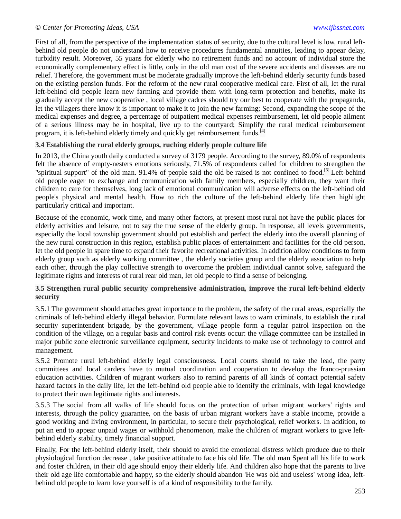First of all, from the perspective of the implementation status of security, due to the cultural level is low, rural leftbehind old people do not understand how to receive procedures fundamental annuities, leading to appear delay, turbidity result. Moreover, 55 yuans for elderly who no retirement funds and no account of individual store the economically complementary effect is little, only in the old man cost of the severe accidents and diseases are no relief. Therefore, the government must be moderate gradually improve the left-behind elderly security funds based on the existing pension funds. For the reform of the new rural cooperative medical care. First of all, let the rural left-behind old people learn new farming and provide them with long-term protection and benefits, make its gradually accept the new cooperative , local village cadres should try our best to cooperate with the propaganda, let the villagers there know it is important to make it to join the new farming; Second, expanding the scope of the medical expenses and degree, a percentage of outpatient medical expenses reimbursement, let old people ailment of a serious illness may be in hospital, live up to the courtyard; Simplify the rural medical reimbursement program, it is left-behind elderly timely and quickly get reimbursement funds.<sup>[4]</sup>

#### **3.4 Establishing the rural elderly groups, ruching elderly people culture life**

In 2013, the China youth daily conducted a survey of 3179 people. According to the survey, 89.0% of respondents felt the absence of empty-nesters emotions seriously, 71.5% of respondents called for children to strengthen the "spiritual support" of the old man. 91.4% of people said the old be raised is not confined to food.<sup>[5]</sup> Left-behind old people eager to exchange and communication with family members, especially children, they want their children to care for themselves, long lack of emotional communication will adverse effects on the left-behind old people's physical and mental health. How to rich the culture of the left-behind elderly life then highlight particularly critical and important.

Because of the economic, work time, and many other factors, at present most rural not have the public places for elderly activities and leisure, not to say the true sense of the elderly group. In response, all levels governments, especially the local township government should put establish and perfect the elderly into the overall planning of the new rural construction in this region, establish public places of entertainment and facilities for the old person, let the old people in spare time to expand their favorite recreational activities. In addition allow conditions to form elderly group such as elderly working committee , the elderly societies group and the elderly association to help each other, through the play collective strength to overcome the problem individual cannot solve, safeguard the legitimate rights and interests of rural rear old man, let old people to find a sense of belonging.

#### **3.5 Strengthen rural public security comprehensive administration, improve the rural left-behind elderly security**

3.5.1 The government should attaches great importance to the problem, the safety of the rural areas, especially the criminals of left-behind elderly illegal behavior. Formulate relevant laws to warn criminals, to establish the rural security superintendent brigade, by the government, village people form a regular patrol inspection on the condition of the village, on a regular basis and control risk events occur: the village committee can be installed in major public zone electronic surveillance equipment, security incidents to make use of technology to control and management.

3.5.2 Promote rural left-behind elderly legal consciousness. Local courts should to take the lead, the party committees and local carders have to mutual coordination and cooperation to develop the franco-prussian education activities. Children of migrant workers also to remind parents of all kinds of contact potential safety hazard factors in the daily life, let the left-behind old people able to identify the criminals, with legal knowledge to protect their own legitimate rights and interests.

3.5.3 The social from all walks of life should focus on the protection of urban migrant workers' rights and interests, through the policy guarantee, on the basis of urban migrant workers have a stable income, provide a good working and living environment, in particular, to secure their psychological, relief workers. In addition, to put an end to appear unpaid wages or withhold phenomenon, make the children of migrant workers to give leftbehind elderly stability, timely financial support.

Finally, For the left-behind elderly itself, their should to avoid the emotional distress which produce due to their physiological function decrease , take positive attitude to face his old life. The old man Spent all his life to work and foster children, in their old age should enjoy their elderly life. And children also hope that the parents to live their old age life comfortable and happy, so the elderly should abandon 'He was old and useless' wrong idea, leftbehind old people to learn love yourself is of a kind of responsibility to the family.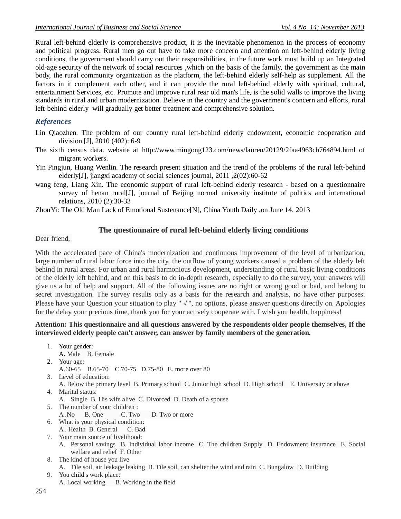Rural left-behind elderly is comprehensive product, it is the inevitable phenomenon in the process of economy and political progress. Rural men go out have to take more concern and attention on left-behind elderly living conditions, the government should carry out their responsibilities, in the future work must build up an Integrated old-age security of the network of social resources ,which on the basis of the family, the government as the main body, the rural community organization as the platform, the left-behind elderly self-help as supplement. All the factors in it complement each other, and it can provide the rural left-behind elderly with spiritual, cultural, entertainment Services, etc. Promote and improve rural rear old man's life, is the solid walls to improve the living standards in rural and urban modernization. Believe in the country and the government's concern and efforts, rural left-behind elderly will gradually get better treatment and comprehensive solution.

# *References*

- Lin Qiaozhen. The problem of our country rural left-behind elderly endowment, economic cooperation and division [J], 2010 (402): 6-9
- The sixth census data. website at http://www.mingong123.com/news/laoren/20129/2faa4963cb764894.html of migrant workers.
- Yin Pingjun, Huang Wenlin. The research present situation and the trend of the problems of the rural left-behind elderly[J], jiangxi academy of social sciences journal, 2011 ,2(02):60-62
- wang feng, Liang Xin. The economic support of rural left-behind elderly research based on a questionnaire survey of henan rural[J], journal of Beijing normal university institute of politics and international relations, 2010 (2):30-33

ZhouYi: The Old Man Lack of Emotional Sustenance[N], China Youth Daily ,on June 14, 2013

#### **The questionnaire of rural left-behind elderly living conditions**

Dear friend,

With the accelerated pace of China's modernization and continuous improvement of the level of urbanization, large number of rural labor force into the city, the outflow of young workers caused a problem of the elderly left behind in rural areas. For urban and rural harmonious development, understanding of rural basic living conditions of the elderly left behind, and on this basis to do in-depth research, especially to do the survey, your answers will give us a lot of help and support. All of the following issues are no right or wrong good or bad, and belong to secret investigation. The survey results only as a basis for the research and analysis, no have other purposes. Please have your Question your situation to play "√", no options, please answer questions directly on. Apologies for the delay your precious time, thank you for your actively cooperate with. I wish you health, happiness!

#### **Attention: This questionnaire and all questions answered by the respondents older people themselves, If the interviewed elderly people can't answer, can answer by family members of the generation.**

- 1. Your gender: A. Male B. Female 2. Your age: A.60-65 B.65-70 C.70-75 D.75-80 E. more over 80 3. Level of education: A. Below the primary level B. Primary school C. Junior high school D. High school E. University or above 4. Marital status: A. Single B. His wife alive C. Divorced D. Death of a spouse 5. The number of your children : A .No B. One C. Two D. Two or more 6. What is your physical condition: A . Health B. General C. Bad 7. Your main source of livelihood: A. Personal savings B. Individual labor income C. The children Supply D. Endowment insurance E. Social welfare and relief F. Other 8. The kind of house you live A. Tile soil, air leakage leaking B. Tile soil, can shelter the wind and rain C. Bungalow D. Building 9. You child's work place:
	- A. Local working B. Working in the field